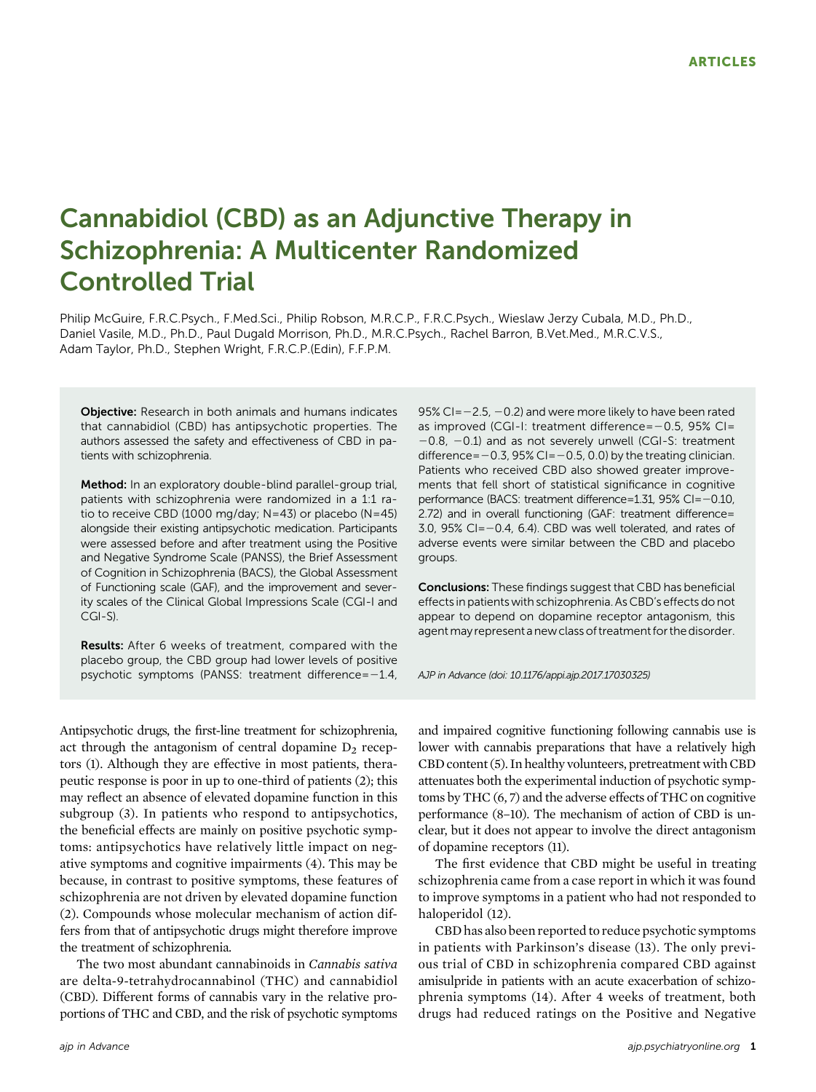# Cannabidiol (CBD) as an Adjunctive Therapy in Schizophrenia: A Multicenter Randomized Controlled Trial

Philip McGuire, F.R.C.Psych., F.Med.Sci., Philip Robson, M.R.C.P., F.R.C.Psych., Wieslaw Jerzy Cubala, M.D., Ph.D., Daniel Vasile, M.D., Ph.D., Paul Dugald Morrison, Ph.D., M.R.C.Psych., Rachel Barron, B.Vet.Med., M.R.C.V.S., Adam Taylor, Ph.D., Stephen Wright, F.R.C.P.(Edin), F.F.P.M.

Objective: Research in both animals and humans indicates that cannabidiol (CBD) has antipsychotic properties. The authors assessed the safety and effectiveness of CBD in patients with schizophrenia.

Method: In an exploratory double-blind parallel-group trial, patients with schizophrenia were randomized in a 1:1 ratio to receive CBD (1000 mg/day; N=43) or placebo (N=45) alongside their existing antipsychotic medication. Participants were assessed before and after treatment using the Positive and Negative Syndrome Scale (PANSS), the Brief Assessment of Cognition in Schizophrenia (BACS), the Global Assessment of Functioning scale (GAF), and the improvement and severity scales of the Clinical Global Impressions Scale (CGI-I and CGI-S).

Results: After 6 weeks of treatment, compared with the placebo group, the CBD group had lower levels of positive psychotic symptoms (PANSS: treatment difference= $-1.4$ ,

Antipsychotic drugs, the first-line treatment for schizophrenia, act through the antagonism of central dopamine  $D_2$  receptors (1). Although they are effective in most patients, therapeutic response is poor in up to one-third of patients (2); this may reflect an absence of elevated dopamine function in this subgroup (3). In patients who respond to antipsychotics, the beneficial effects are mainly on positive psychotic symptoms: antipsychotics have relatively little impact on negative symptoms and cognitive impairments (4). This may be because, in contrast to positive symptoms, these features of schizophrenia are not driven by elevated dopamine function (2). Compounds whose molecular mechanism of action differs from that of antipsychotic drugs might therefore improve the treatment of schizophrenia.

The two most abundant cannabinoids in Cannabis sativa are delta-9-tetrahydrocannabinol (THC) and cannabidiol (CBD). Different forms of cannabis vary in the relative proportions of THC and CBD, and the risk of psychotic symptoms

95% CI= $-2.5$ ,  $-0.2$ ) and were more likely to have been rated as improved (CGI-I: treatment difference=-0.5, 95% CI=  $-0.8$ ,  $-0.1$ ) and as not severely unwell (CGI-S: treatment difference= $-0.3$ , 95% CI= $-0.5$ , 0.0) by the treating clinician. Patients who received CBD also showed greater improvements that fell short of statistical significance in cognitive performance (BACS: treatment difference=1.31, 95% CI=-0.10, 2.72) and in overall functioning (GAF: treatment difference=  $3.0$ ,  $95\%$  CI= $-0.4$ , 6.4). CBD was well tolerated, and rates of adverse events were similar between the CBD and placebo groups.

**Conclusions:** These findings suggest that CBD has beneficial effects in patients with schizophrenia. As CBD's effects do not appear to depend on dopamine receptor antagonism, this agent may represent a new class of treatment for the disorder.

AJP in Advance (doi: 10.1176/appi.ajp.2017.17030325)

and impaired cognitive functioning following cannabis use is lower with cannabis preparations that have a relatively high CBD content (5). In healthy volunteers, pretreatment with CBD attenuates both the experimental induction of psychotic symptoms by THC (6, 7) and the adverse effects of THC on cognitive performance (8–10). The mechanism of action of CBD is unclear, but it does not appear to involve the direct antagonism of dopamine receptors (11).

The first evidence that CBD might be useful in treating schizophrenia came from a case report in which it was found to improve symptoms in a patient who had not responded to haloperidol (12).

CBD has also been reported to reduce psychotic symptoms in patients with Parkinson's disease (13). The only previous trial of CBD in schizophrenia compared CBD against amisulpride in patients with an acute exacerbation of schizophrenia symptoms (14). After 4 weeks of treatment, both drugs had reduced ratings on the Positive and Negative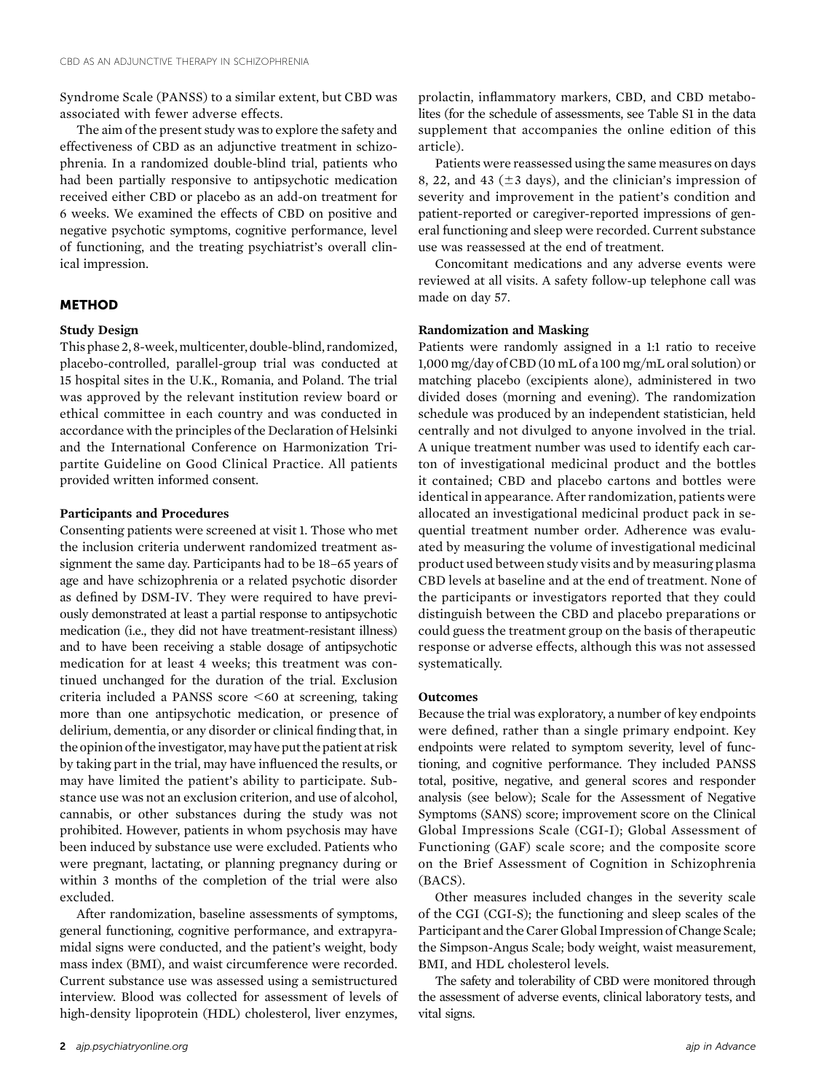Syndrome Scale (PANSS) to a similar extent, but CBD was associated with fewer adverse effects.

The aim of the present study was to explore the safety and effectiveness of CBD as an adjunctive treatment in schizophrenia. In a randomized double-blind trial, patients who had been partially responsive to antipsychotic medication received either CBD or placebo as an add-on treatment for 6 weeks. We examined the effects of CBD on positive and negative psychotic symptoms, cognitive performance, level of functioning, and the treating psychiatrist's overall clinical impression.

## METHOD

## Study Design

This phase 2, 8-week, multicenter, double-blind, randomized, placebo-controlled, parallel-group trial was conducted at 15 hospital sites in the U.K., Romania, and Poland. The trial was approved by the relevant institution review board or ethical committee in each country and was conducted in accordance with the principles of the Declaration of Helsinki and the International Conference on Harmonization Tripartite Guideline on Good Clinical Practice. All patients provided written informed consent.

#### Participants and Procedures

Consenting patients were screened at visit 1. Those who met the inclusion criteria underwent randomized treatment assignment the same day. Participants had to be 18–65 years of age and have schizophrenia or a related psychotic disorder as defined by DSM-IV. They were required to have previously demonstrated at least a partial response to antipsychotic medication (i.e., they did not have treatment-resistant illness) and to have been receiving a stable dosage of antipsychotic medication for at least 4 weeks; this treatment was continued unchanged for the duration of the trial. Exclusion criteria included a PANSS score  $\leq 60$  at screening, taking more than one antipsychotic medication, or presence of delirium, dementia, or any disorder or clinical finding that, in the opinion of the investigator, may have put the patient at risk by taking part in the trial, may have influenced the results, or may have limited the patient's ability to participate. Substance use was not an exclusion criterion, and use of alcohol, cannabis, or other substances during the study was not prohibited. However, patients in whom psychosis may have been induced by substance use were excluded. Patients who were pregnant, lactating, or planning pregnancy during or within 3 months of the completion of the trial were also excluded.

After randomization, baseline assessments of symptoms, general functioning, cognitive performance, and extrapyramidal signs were conducted, and the patient's weight, body mass index (BMI), and waist circumference were recorded. Current substance use was assessed using a semistructured interview. Blood was collected for assessment of levels of high-density lipoprotein (HDL) cholesterol, liver enzymes,

prolactin, inflammatory markers, CBD, and CBD metabolites (for the schedule of assessments, see Table S1 in the data supplement that accompanies the online edition of this article).

Patients were reassessed using the same measures on days 8, 22, and 43 ( $\pm$ 3 days), and the clinician's impression of severity and improvement in the patient's condition and patient-reported or caregiver-reported impressions of general functioning and sleep were recorded. Current substance use was reassessed at the end of treatment.

Concomitant medications and any adverse events were reviewed at all visits. A safety follow-up telephone call was made on day 57.

#### Randomization and Masking

Patients were randomly assigned in a 1:1 ratio to receive 1,000 mg/day of CBD (10 mL of a 100 mg/mL oral solution) or matching placebo (excipients alone), administered in two divided doses (morning and evening). The randomization schedule was produced by an independent statistician, held centrally and not divulged to anyone involved in the trial. A unique treatment number was used to identify each carton of investigational medicinal product and the bottles it contained; CBD and placebo cartons and bottles were identical in appearance. After randomization, patients were allocated an investigational medicinal product pack in sequential treatment number order. Adherence was evaluated by measuring the volume of investigational medicinal product used between study visits and by measuring plasma CBD levels at baseline and at the end of treatment. None of the participants or investigators reported that they could distinguish between the CBD and placebo preparations or could guess the treatment group on the basis of therapeutic response or adverse effects, although this was not assessed systematically.

#### **Outcomes**

Because the trial was exploratory, a number of key endpoints were defined, rather than a single primary endpoint. Key endpoints were related to symptom severity, level of functioning, and cognitive performance. They included PANSS total, positive, negative, and general scores and responder analysis (see below); Scale for the Assessment of Negative Symptoms (SANS) score; improvement score on the Clinical Global Impressions Scale (CGI-I); Global Assessment of Functioning (GAF) scale score; and the composite score on the Brief Assessment of Cognition in Schizophrenia (BACS).

Other measures included changes in the severity scale of the CGI (CGI-S); the functioning and sleep scales of the Participant and the Carer Global Impression of Change Scale; the Simpson-Angus Scale; body weight, waist measurement, BMI, and HDL cholesterol levels.

The safety and tolerability of CBD were monitored through the assessment of adverse events, clinical laboratory tests, and vital signs.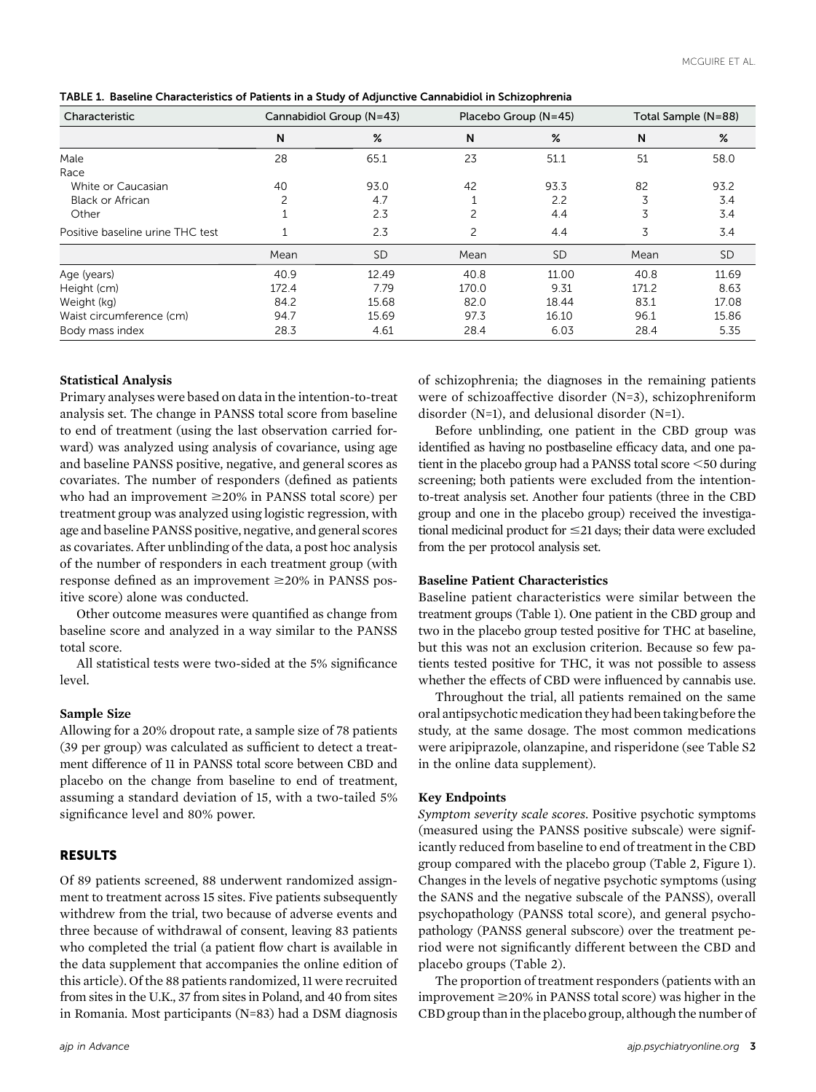| Characteristic                   |       | Cannabidiol Group (N=43) |       | Placebo Group (N=45) | Total Sample (N=88) |           |  |
|----------------------------------|-------|--------------------------|-------|----------------------|---------------------|-----------|--|
|                                  | N     | %                        | N     | %                    | N                   | %         |  |
| Male                             | 28    | 65.1                     | 23    | 51.1                 | 51                  | 58.0      |  |
| Race                             |       |                          |       |                      |                     |           |  |
| White or Caucasian               | 40    | 93.0                     | 42    | 93.3                 | 82                  | 93.2      |  |
| Black or African                 | 2     | 4.7                      |       | 2.2                  | 3                   | 3.4       |  |
| Other                            |       | 2.3                      | 2     | 4.4                  | 3                   | 3.4       |  |
| Positive baseline urine THC test |       | 2.3                      | 2     | 4.4                  | 3                   | 3.4       |  |
|                                  | Mean  | <b>SD</b>                | Mean  | <b>SD</b>            | Mean                | <b>SD</b> |  |
| Age (years)                      | 40.9  | 12.49                    | 40.8  | 11.00                | 40.8                | 11.69     |  |
| Height (cm)                      | 172.4 | 7.79                     | 170.0 | 9.31                 | 171.2               | 8.63      |  |
| Weight (kg)                      | 84.2  | 15.68                    | 82.0  | 18.44                | 83.1                | 17.08     |  |
| Waist circumference (cm)         | 94.7  | 15.69                    | 97.3  | 16.10                | 96.1                | 15.86     |  |
| Body mass index                  | 28.3  | 4.61                     | 28.4  | 6.03                 | 28.4                | 5.35      |  |

TABLE 1. Baseline Characteristics of Patients in a Study of Adjunctive Cannabidiol in Schizophrenia

## Statistical Analysis

Primary analyses were based on data in the intention-to-treat analysis set. The change in PANSS total score from baseline to end of treatment (using the last observation carried forward) was analyzed using analysis of covariance, using age and baseline PANSS positive, negative, and general scores as covariates. The number of responders (defined as patients who had an improvement  $\geq$ 20% in PANSS total score) per treatment group was analyzed using logistic regression, with age and baseline PANSS positive, negative, and general scores as covariates. After unblinding of the data, a post hoc analysis of the number of responders in each treatment group (with response defined as an improvement  $\geq$ 20% in PANSS positive score) alone was conducted.

Other outcome measures were quantified as change from baseline score and analyzed in a way similar to the PANSS total score.

All statistical tests were two-sided at the 5% significance level.

## Sample Size

Allowing for a 20% dropout rate, a sample size of 78 patients (39 per group) was calculated as sufficient to detect a treatment difference of 11 in PANSS total score between CBD and placebo on the change from baseline to end of treatment, assuming a standard deviation of 15, with a two-tailed 5% significance level and 80% power.

# RESULTS

Of 89 patients screened, 88 underwent randomized assignment to treatment across 15 sites. Five patients subsequently withdrew from the trial, two because of adverse events and three because of withdrawal of consent, leaving 83 patients who completed the trial (a patient flow chart is available in the data supplement that accompanies the online edition of this article). Of the 88 patients randomized, 11 were recruited from sites in the U.K., 37 from sites in Poland, and 40 from sites in Romania. Most participants (N=83) had a DSM diagnosis

of schizophrenia; the diagnoses in the remaining patients were of schizoaffective disorder (N=3), schizophreniform disorder (N=1), and delusional disorder (N=1).

Before unblinding, one patient in the CBD group was identified as having no postbaseline efficacy data, and one patient in the placebo group had a PANSS total score  $\leq$  50 during screening; both patients were excluded from the intentionto-treat analysis set. Another four patients (three in the CBD group and one in the placebo group) received the investigational medicinal product for  $\leq$  21 days; their data were excluded from the per protocol analysis set.

## Baseline Patient Characteristics

Baseline patient characteristics were similar between the treatment groups (Table 1). One patient in the CBD group and two in the placebo group tested positive for THC at baseline, but this was not an exclusion criterion. Because so few patients tested positive for THC, it was not possible to assess whether the effects of CBD were influenced by cannabis use.

Throughout the trial, all patients remained on the same oral antipsychotic medication they had been taking before the study, at the same dosage. The most common medications were aripiprazole, olanzapine, and risperidone (see Table S2 in the online data supplement).

## Key Endpoints

Symptom severity scale scores. Positive psychotic symptoms (measured using the PANSS positive subscale) were significantly reduced from baseline to end of treatment in the CBD group compared with the placebo group (Table 2, Figure 1). Changes in the levels of negative psychotic symptoms (using the SANS and the negative subscale of the PANSS), overall psychopathology (PANSS total score), and general psychopathology (PANSS general subscore) over the treatment period were not significantly different between the CBD and placebo groups (Table 2).

The proportion of treatment responders (patients with an improvement  $\geq$  20% in PANSS total score) was higher in the CBD group than in the placebo group, although the number of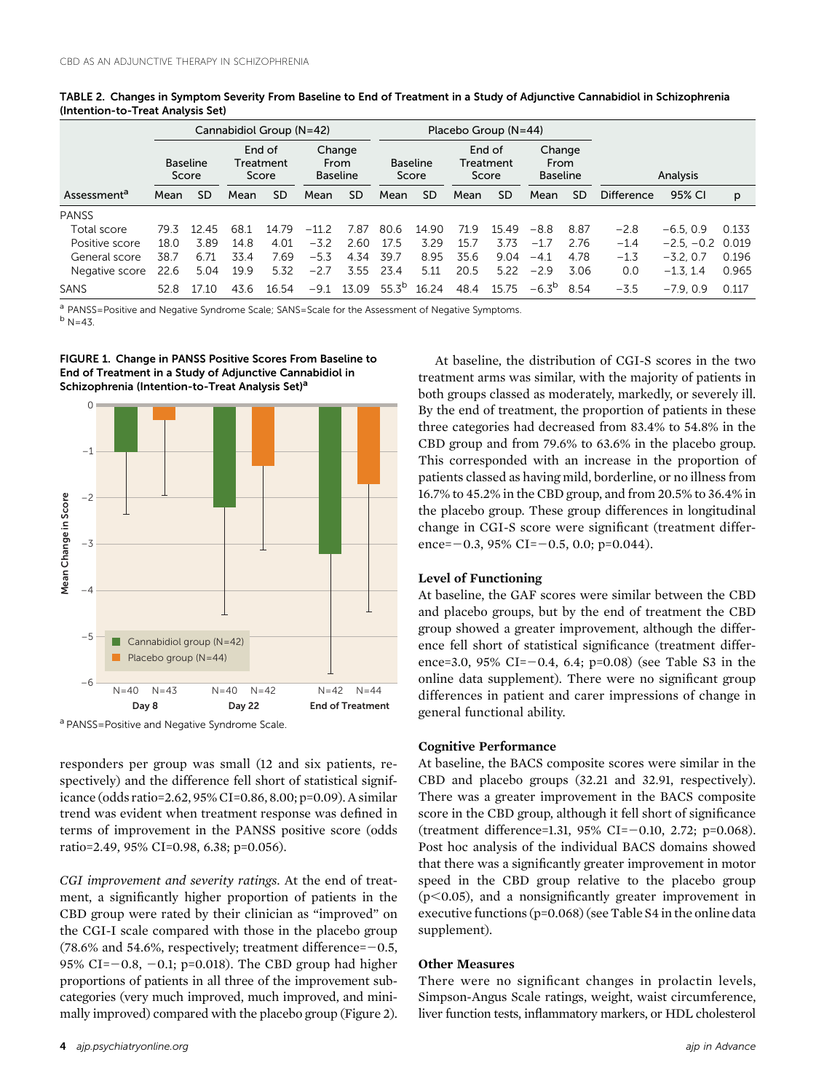|                         |      |                          |      | Cannabidiol Group (N=42)     |         |                                   |            |                          |                              | Placebo Group $(N=44)$ |                                   |           |                   |              |       |
|-------------------------|------|--------------------------|------|------------------------------|---------|-----------------------------------|------------|--------------------------|------------------------------|------------------------|-----------------------------------|-----------|-------------------|--------------|-------|
|                         |      | <b>Baseline</b><br>Score |      | End of<br>Treatment<br>Score |         | Change<br>From<br><b>Baseline</b> |            | <b>Baseline</b><br>Score | End of<br>Treatment<br>Score |                        | Change<br>From<br><b>Baseline</b> |           | Analysis          |              |       |
| Assessment <sup>a</sup> | Mean | <b>SD</b>                | Mean | <b>SD</b>                    | Mean    | <b>SD</b>                         | Mean       | <b>SD</b>                | Mean                         | <b>SD</b>              | Mean                              | <b>SD</b> | <b>Difference</b> | 95% CI       | p     |
| <b>PANSS</b>            |      |                          |      |                              |         |                                   |            |                          |                              |                        |                                   |           |                   |              |       |
| Total score             | 79.3 | 12.45                    | 68.1 | 1479                         | $-11.2$ | 7.87                              | 80.6       | 14.90                    | 71.9                         | 1549                   | $-8.8$                            | 8.87      | $-2.8$            | $-6.5.0.9$   | 0.133 |
| Positive score          | 18.0 | 3.89                     | 14.8 | 4.01                         | $-3.2$  | 2.60                              | 17.5       | 3.29                     | 15.7                         | 3.73                   | $-17$                             | 2.76      | $-1.4$            | $-2.5, -0.2$ | 0.019 |
| General score           | 38.7 | 6.71                     | 33.4 | 7.69                         | $-5.3$  | 4.34                              | 39.7       | 8.95                     | 35.6                         | 9.04                   | $-4.1$                            | 4.78      | $-1.3$            | $-3.2.0.7$   | 0.196 |
| Negative score          | 22.6 | 5.04                     | 19.9 | 5.32                         | $-2.7$  | 3.55                              | 23.4       | 5.11                     | 20.5                         | 5.22                   | $-2.9$                            | 3.06      | 0.0               | $-1.3.14$    | 0.965 |
| SANS                    | 52.8 | 710                      | 43.6 | 16.54                        | $-9.1$  | 13.09                             | $55.3^{b}$ | 16.24                    | 48.4                         | 15.75                  | $-6.3^{p}$                        | 8.54      | $-3.5$            | $-7.9.0.9$   | 0.117 |

TABLE 2. Changes in Symptom Severity From Baseline to End of Treatment in a Study of Adjunctive Cannabidiol in Schizophrenia (Intention-to-Treat Analysis Set)

a PANSS=Positive and Negative Syndrome Scale; SANS=Scale for the Assessment of Negative Symptoms.  $<sup>b</sup> N=43.$ </sup>





a PANSS=Positive and Negative Syndrome Scale.

responders per group was small (12 and six patients, respectively) and the difference fell short of statistical significance (odds ratio=2.62, 95% CI=0.86, 8.00; p=0.09). A similar trend was evident when treatment response was defined in terms of improvement in the PANSS positive score (odds ratio=2.49, 95% CI=0.98, 6.38; p=0.056).

CGI improvement and severity ratings. At the end of treatment, a significantly higher proportion of patients in the CBD group were rated by their clinician as "improved" on the CGI-I scale compared with those in the placebo group (78.6% and 54.6%, respectively; treatment difference= $-0.5$ , 95% CI= $-0.8$ ,  $-0.1$ ; p=0.018). The CBD group had higher proportions of patients in all three of the improvement subcategories (very much improved, much improved, and minimally improved) compared with the placebo group (Figure 2).

At baseline, the distribution of CGI-S scores in the two treatment arms was similar, with the majority of patients in both groups classed as moderately, markedly, or severely ill. By the end of treatment, the proportion of patients in these three categories had decreased from 83.4% to 54.8% in the CBD group and from 79.6% to 63.6% in the placebo group. This corresponded with an increase in the proportion of patients classed as having mild, borderline, or no illness from 16.7% to 45.2% in the CBD group, and from 20.5% to 36.4% in the placebo group. These group differences in longitudinal change in CGI-S score were significant (treatment difference= $-0.3$ , 95% CI= $-0.5$ , 0.0; p=0.044).

## Level of Functioning

At baseline, the GAF scores were similar between the CBD and placebo groups, but by the end of treatment the CBD group showed a greater improvement, although the difference fell short of statistical significance (treatment difference=3.0, 95% CI= $-0.4$ , 6.4; p=0.08) (see Table S3 in the online data supplement). There were no significant group differences in patient and carer impressions of change in general functional ability.

## Cognitive Performance

At baseline, the BACS composite scores were similar in the CBD and placebo groups (32.21 and 32.91, respectively). There was a greater improvement in the BACS composite score in the CBD group, although it fell short of significance (treatment difference=1.31, 95% CI=-0.10, 2.72; p=0.068). Post hoc analysis of the individual BACS domains showed that there was a significantly greater improvement in motor speed in the CBD group relative to the placebo group  $(p<0.05)$ , and a nonsignificantly greater improvement in executive functions (p=0.068) (see Table S4 in the online data supplement).

## Other Measures

There were no significant changes in prolactin levels, Simpson-Angus Scale ratings, weight, waist circumference, liver function tests, inflammatory markers, or HDL cholesterol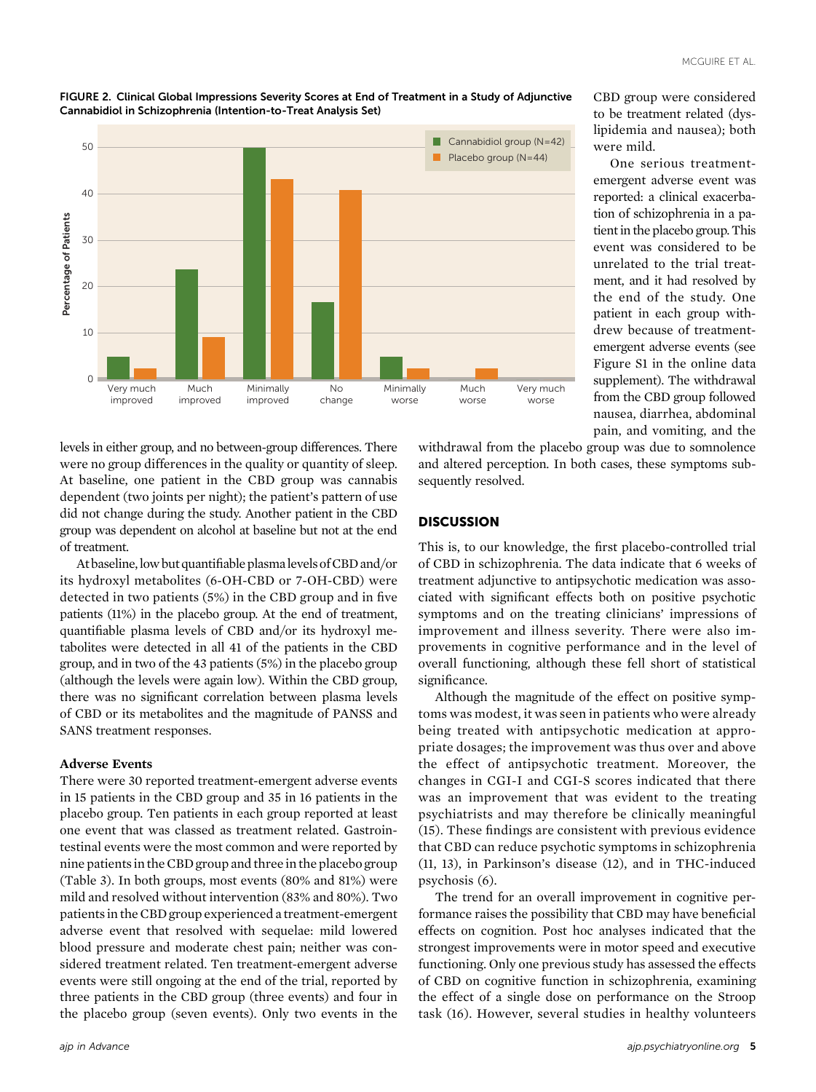CBD group were considered to be treatment related (dys-



#### FIGURE 2. Clinical Global Impressions Severity Scores at End of Treatment in a Study of Adjunctive Cannabidiol in Schizophrenia (Intention-to-Treat Analysis Set)

levels in either group, and no between-group differences. There were no group differences in the quality or quantity of sleep. At baseline, one patient in the CBD group was cannabis dependent (two joints per night); the patient's pattern of use did not change during the study. Another patient in the CBD group was dependent on alcohol at baseline but not at the end of treatment.

At baseline, low but quantifiable plasma levels of CBD and/or its hydroxyl metabolites (6-OH-CBD or 7-OH-CBD) were detected in two patients (5%) in the CBD group and in five patients (11%) in the placebo group. At the end of treatment, quantifiable plasma levels of CBD and/or its hydroxyl metabolites were detected in all 41 of the patients in the CBD group, and in two of the 43 patients (5%) in the placebo group (although the levels were again low). Within the CBD group, there was no significant correlation between plasma levels of CBD or its metabolites and the magnitude of PANSS and SANS treatment responses.

## Adverse Events

There were 30 reported treatment-emergent adverse events in 15 patients in the CBD group and 35 in 16 patients in the placebo group. Ten patients in each group reported at least one event that was classed as treatment related. Gastrointestinal events were the most common and were reported by nine patients in the CBD group and three in the placebo group (Table 3). In both groups, most events (80% and 81%) were mild and resolved without intervention (83% and 80%). Two patients in the CBD group experienced a treatment-emergent adverse event that resolved with sequelae: mild lowered blood pressure and moderate chest pain; neither was considered treatment related. Ten treatment-emergent adverse events were still ongoing at the end of the trial, reported by three patients in the CBD group (three events) and four in the placebo group (seven events). Only two events in the

lipidemia and nausea); both were mild. One serious treatmentemergent adverse event was reported: a clinical exacerbation of schizophrenia in a patient in the placebo group. This event was considered to be unrelated to the trial treatment, and it had resolved by the end of the study. One patient in each group withdrew because of treatmentemergent adverse events (see Figure S1 in the online data supplement). The withdrawal from the CBD group followed nausea, diarrhea, abdominal

pain, and vomiting, and the

withdrawal from the placebo group was due to somnolence and altered perception. In both cases, these symptoms subsequently resolved.

## **DISCUSSION**

This is, to our knowledge, the first placebo-controlled trial of CBD in schizophrenia. The data indicate that 6 weeks of treatment adjunctive to antipsychotic medication was associated with significant effects both on positive psychotic symptoms and on the treating clinicians' impressions of improvement and illness severity. There were also improvements in cognitive performance and in the level of overall functioning, although these fell short of statistical significance.

Although the magnitude of the effect on positive symptoms was modest, it was seen in patients who were already being treated with antipsychotic medication at appropriate dosages; the improvement was thus over and above the effect of antipsychotic treatment. Moreover, the changes in CGI-I and CGI-S scores indicated that there was an improvement that was evident to the treating psychiatrists and may therefore be clinically meaningful (15). These findings are consistent with previous evidence that CBD can reduce psychotic symptoms in schizophrenia (11, 13), in Parkinson's disease (12), and in THC-induced psychosis (6).

The trend for an overall improvement in cognitive performance raises the possibility that CBD may have beneficial effects on cognition. Post hoc analyses indicated that the strongest improvements were in motor speed and executive functioning. Only one previous study has assessed the effects of CBD on cognitive function in schizophrenia, examining the effect of a single dose on performance on the Stroop task (16). However, several studies in healthy volunteers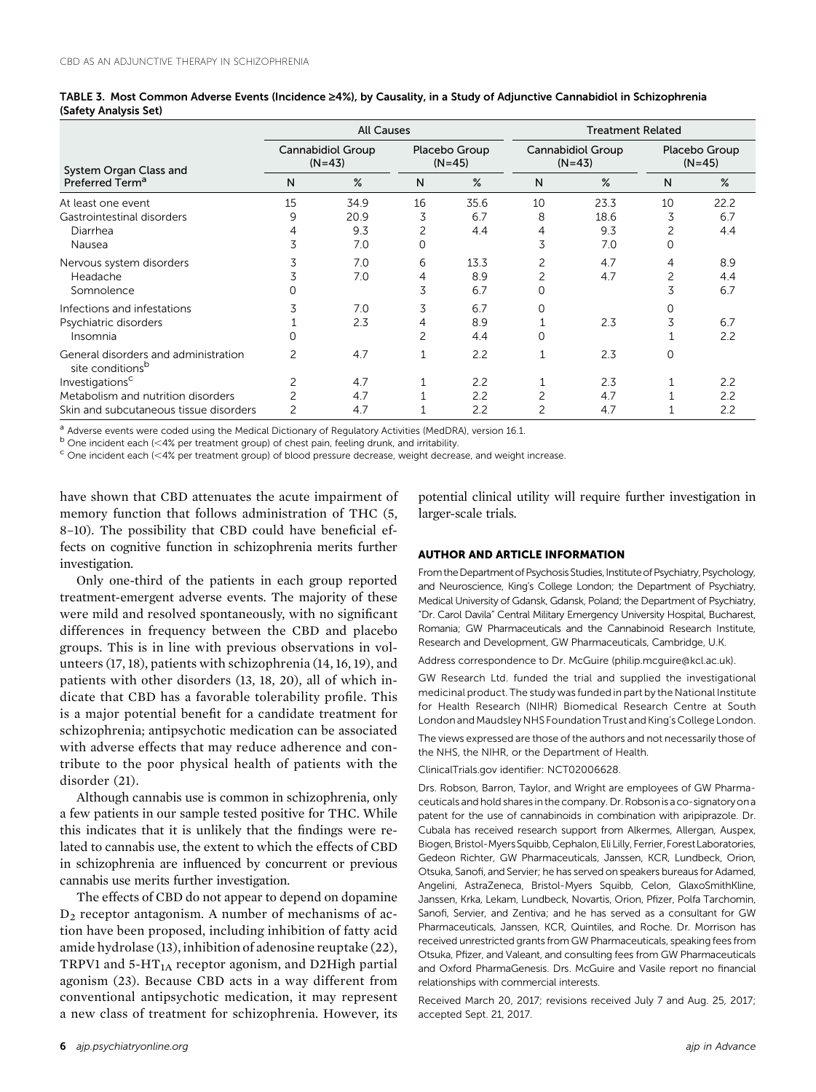|                                                                      |                               | <b>All Causes</b> |    |                           | <b>Treatment Related</b> |                               |                           |      |  |  |
|----------------------------------------------------------------------|-------------------------------|-------------------|----|---------------------------|--------------------------|-------------------------------|---------------------------|------|--|--|
| System Organ Class and                                               | Cannabidiol Group<br>$(N=43)$ |                   |    | Placebo Group<br>$(N=45)$ |                          | Cannabidiol Group<br>$(N=43)$ | Placebo Group<br>$(N=45)$ |      |  |  |
| Preferred Term <sup>a</sup>                                          | N                             | $\%$              | N  | $\%$                      | N                        | $\%$                          | N                         | $\%$ |  |  |
| At least one event                                                   | 15                            | 34.9              | 16 | 35.6                      | 10                       | 23.3                          | 10                        | 22.2 |  |  |
| Gastrointestinal disorders                                           | 9                             | 20.9              | 3  | 6.7                       | 8                        | 18.6                          | 3                         | 6.7  |  |  |
| Diarrhea                                                             |                               | 9.3               |    | 4.4                       | 4                        | 9.3                           |                           | 4.4  |  |  |
| Nausea                                                               | 3                             | 7.0               |    |                           | 3                        | 7.0                           |                           |      |  |  |
| Nervous system disorders                                             | 3                             | 7.0               | 6  | 13.3                      | 2                        | 4.7                           | 4                         | 8.9  |  |  |
| Headache                                                             |                               | 7.0               | 4  | 8.9                       | $\overline{c}$           | 4.7                           | 2                         | 4.4  |  |  |
| Somnolence                                                           |                               |                   | 3  | 6.7                       | $\Omega$                 |                               | 3                         | 6.7  |  |  |
| Infections and infestations                                          | 3                             | 7.0               | 3  | 6.7                       | 0                        |                               |                           |      |  |  |
| Psychiatric disorders                                                |                               | 2.3               | 4  | 8.9                       |                          | 2.3                           | 3                         | 6.7  |  |  |
| Insomnia                                                             |                               |                   | 2  | 4.4                       | O                        |                               |                           | 2.2  |  |  |
| General disorders and administration<br>site conditions <sup>b</sup> |                               | 4.7               |    | 2.2                       |                          | 2.3                           | 0                         |      |  |  |
| Investigations <sup>c</sup>                                          |                               | 4.7               |    | 2.2                       |                          | 2.3                           |                           | 2.2  |  |  |
| Metabolism and nutrition disorders                                   |                               | 4.7               |    | 2.2                       | 2                        | 4.7                           |                           | 2.2  |  |  |
| Skin and subcutaneous tissue disorders                               | 2                             | 4.7               |    | 2.2                       | 2                        | 4.7                           |                           | 2.2  |  |  |

|                       | TABLE 3. Most Common Adverse Events (Incidence ≥4%), by Causality, in a Study of Adjunctive Cannabidiol in Schizophrenia |  |  |  |
|-----------------------|--------------------------------------------------------------------------------------------------------------------------|--|--|--|
| (Safety Analysis Set) |                                                                                                                          |  |  |  |

<sup>a</sup> Adverse events were coded using the Medical Dictionary of Regulatory Activities (MedDRA), version 16.1.<br><sup>b</sup> One incident each (<4% per treatment group) of chest pain, feeling drunk, and irritability.

 $c$  One incident each (<4% per treatment group) of blood pressure decrease, weight decrease, and weight increase.

have shown that CBD attenuates the acute impairment of memory function that follows administration of THC (5, 8–10). The possibility that CBD could have beneficial effects on cognitive function in schizophrenia merits further investigation.

Only one-third of the patients in each group reported treatment-emergent adverse events. The majority of these were mild and resolved spontaneously, with no significant differences in frequency between the CBD and placebo groups. This is in line with previous observations in volunteers (17, 18), patients with schizophrenia (14, 16, 19), and patients with other disorders (13, 18, 20), all of which indicate that CBD has a favorable tolerability profile. This is a major potential benefit for a candidate treatment for schizophrenia; antipsychotic medication can be associated with adverse effects that may reduce adherence and contribute to the poor physical health of patients with the disorder (21).

Although cannabis use is common in schizophrenia, only a few patients in our sample tested positive for THC. While this indicates that it is unlikely that the findings were related to cannabis use, the extent to which the effects of CBD in schizophrenia are influenced by concurrent or previous cannabis use merits further investigation.

The effects of CBD do not appear to depend on dopamine  $D_2$  receptor antagonism. A number of mechanisms of action have been proposed, including inhibition of fatty acid amide hydrolase (13), inhibition of adenosine reuptake (22), TRPV1 and  $5-HT<sub>1A</sub>$  receptor agonism, and D2High partial agonism (23). Because CBD acts in a way different from conventional antipsychotic medication, it may represent a new class of treatment for schizophrenia. However, its potential clinical utility will require further investigation in larger-scale trials.

## AUTHOR AND ARTICLE INFORMATION

From the Department of Psychosis Studies, Institute of Psychiatry, Psychology, and Neuroscience, King's College London; the Department of Psychiatry, Medical University of Gdansk, Gdansk, Poland; the Department of Psychiatry, "Dr. Carol Davila" Central Military Emergency University Hospital, Bucharest, Romania; GW Pharmaceuticals and the Cannabinoid Research Institute, Research and Development, GW Pharmaceuticals, Cambridge, U.K.

Address correspondence to Dr. McGuire ([philip.mcguire@kcl.ac.uk\)](mailto:philip.mcguire@kcl.ac.uk).

GW Research Ltd. funded the trial and supplied the investigational medicinal product. The study was funded in part by the National Institute for Health Research (NIHR) Biomedical Research Centre at South London and Maudsley NHS Foundation Trust and King's College London.

The views expressed are those of the authors and not necessarily those of the NHS, the NIHR, or the Department of Health.

ClinicalTrials.gov identifier: NCT02006628.

Drs. Robson, Barron, Taylor, and Wright are employees of GW Pharmaceuticals and hold shares in the company. Dr. Robson is a co-signatory on a patent for the use of cannabinoids in combination with aripiprazole. Dr. Cubala has received research support from Alkermes, Allergan, Auspex, Biogen, Bristol-Myers Squibb, Cephalon, Eli Lilly, Ferrier, Forest Laboratories, Gedeon Richter, GW Pharmaceuticals, Janssen, KCR, Lundbeck, Orion, Otsuka, Sanofi, and Servier; he has served on speakers bureaus for Adamed, Angelini, AstraZeneca, Bristol-Myers Squibb, Celon, GlaxoSmithKline, Janssen, Krka, Lekam, Lundbeck, Novartis, Orion, Pfizer, Polfa Tarchomin, Sanofi, Servier, and Zentiva; and he has served as a consultant for GW Pharmaceuticals, Janssen, KCR, Quintiles, and Roche. Dr. Morrison has received unrestricted grants from GW Pharmaceuticals, speaking fees from Otsuka, Pfizer, and Valeant, and consulting fees from GW Pharmaceuticals and Oxford PharmaGenesis. Drs. McGuire and Vasile report no financial relationships with commercial interests.

Received March 20, 2017; revisions received July 7 and Aug. 25, 2017; accepted Sept. 21, 2017.